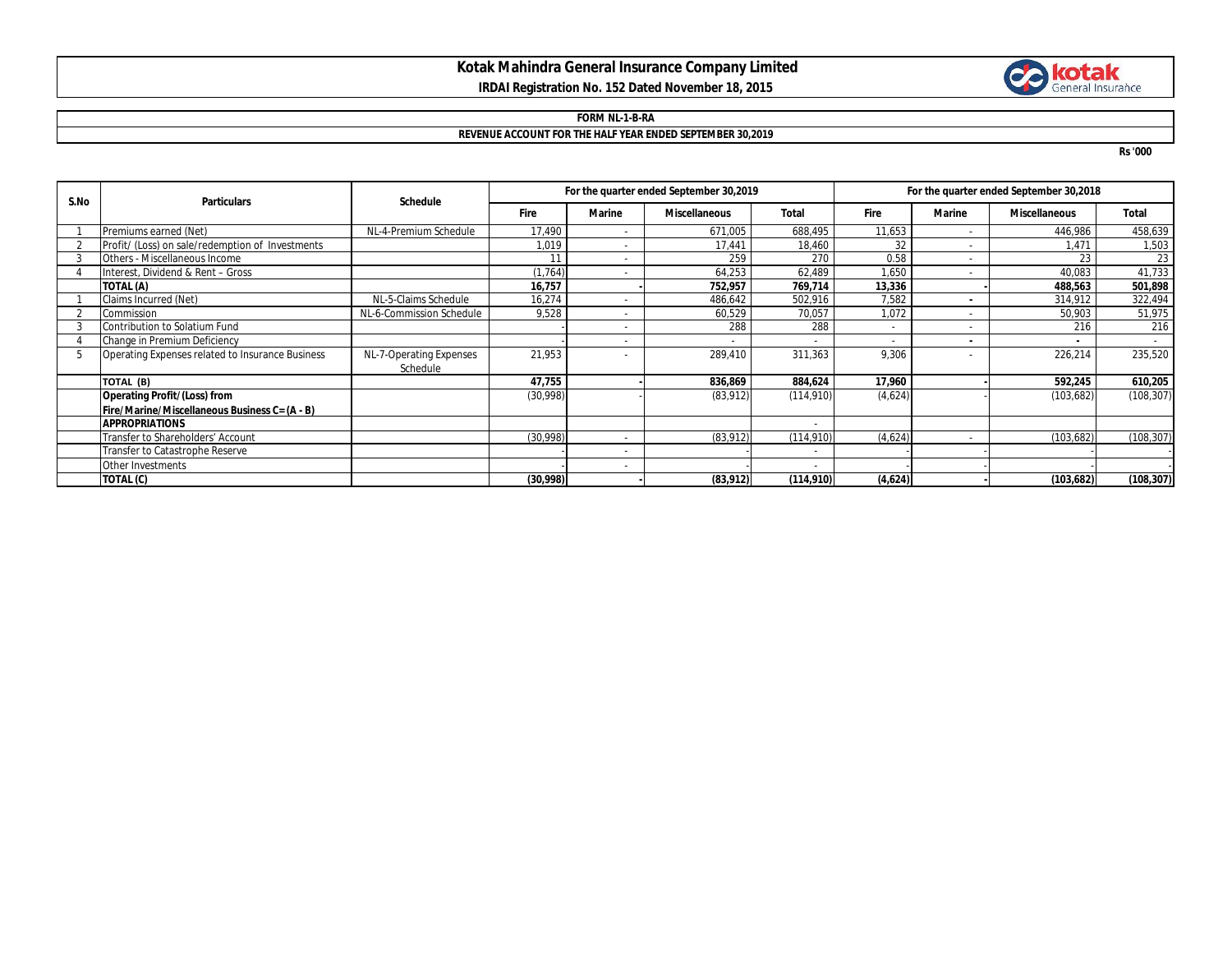## **Kotak Mahindra General Insurance Company Limited IRDAI Registration No. 152 Dated November 18, 2015**



## **FORM NL-1-B-RA REVENUE ACCOUNT FOR THE HALF YEAR ENDED SEPTEMBER 30,2019**

**Rs '000**

| S.No | <b>Particulars</b>                               | <b>Schedule</b>          | For the quarter ended September 30,2019 |                |                      |            | For the quarter ended September 30,2018 |                          |                      |            |
|------|--------------------------------------------------|--------------------------|-----------------------------------------|----------------|----------------------|------------|-----------------------------------------|--------------------------|----------------------|------------|
|      |                                                  |                          | <b>Fire</b>                             | <b>Marine</b>  | <b>Miscellaneous</b> | Total      | Fire                                    | <b>Marine</b>            | <b>Miscellaneous</b> | Total      |
|      | Premiums earned (Net)                            | NL-4-Premium Schedule    | 17,490                                  |                | 671,005              | 688,495    | 11,653                                  | $\overline{\phantom{a}}$ | 446,986              | 458,639    |
|      | Profit/ (Loss) on sale/redemption of Investments |                          | 1,019                                   |                | 17,441               | 18,460     | 32                                      | $\overline{\phantom{a}}$ | 1.471                | 1,503      |
|      | Others - Miscellaneous Income                    |                          | 11                                      | $\overline{a}$ | 259                  | 270        | 0.58                                    | $\overline{\phantom{a}}$ | 23                   | 23         |
|      | Interest, Dividend & Rent - Gross                |                          | (1, 764)                                |                | 64,253               | 62,489     | 1,650                                   | $\overline{\phantom{a}}$ | 40,083               | 41,733     |
|      | TOTAL (A)                                        |                          | 16,757                                  |                | 752,957              | 769,714    | 13,336                                  |                          | 488,563              | 501,898    |
|      | Claims Incurred (Net)                            | NL-5-Claims Schedule     | 16,274                                  |                | 486.642              | 502,916    | 7.582                                   |                          | 314,912              | 322,494    |
|      | Commission                                       | NL-6-Commission Schedule | 9,528                                   |                | 60,529               | 70,057     | 1,072                                   | $\overline{\phantom{a}}$ | 50,903               | 51,975     |
|      | Contribution to Solatium Fund                    |                          |                                         |                | 288                  | 288        | $\overline{\phantom{a}}$                |                          | 216                  | 216        |
|      | Change in Premium Deficiency                     |                          |                                         |                |                      |            |                                         | $\blacksquare$           |                      |            |
|      | Operating Expenses related to Insurance Business | NL-7-Operating Expenses  | 21,953                                  |                | 289,410              | 311,363    | 9,306                                   |                          | 226,214              | 235,520    |
|      |                                                  | Schedule                 |                                         |                |                      |            |                                         |                          |                      |            |
|      | TOTAL (B)                                        |                          | 47,755                                  |                | 836,869              | 884,624    | 17,960                                  |                          | 592,245              | 610,205    |
|      | <b>Operating Profit/(Loss) from</b>              |                          | (30,998)                                |                | (83, 912)            | (114, 910) | (4,624)                                 |                          | (103, 682)           | (108, 307) |
|      | Fire/Marine/Miscellaneous Business C= (A - B)    |                          |                                         |                |                      |            |                                         |                          |                      |            |
|      | <b>APPROPRIATIONS</b>                            |                          |                                         |                |                      |            |                                         |                          |                      |            |
|      | Transfer to Shareholders' Account                |                          | (30,998)                                |                | (83, 912)            | (114, 910) | (4,624)                                 |                          | (103, 682)           | (108, 307) |
|      | Transfer to Catastrophe Reserve                  |                          |                                         | $\sim$         |                      |            |                                         |                          |                      |            |
|      | Other Investments                                |                          |                                         | $\sim$         |                      |            |                                         |                          |                      |            |
|      | TOTAL (C)                                        |                          | (30,998)                                |                | (83,912)             | (114, 910) | (4,624)                                 |                          | (103, 682)           | (108, 307) |